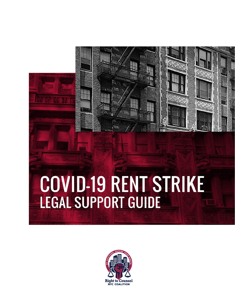# COVID-19 RENT STRIKE **LEGAL SUPPORT GUIDE**

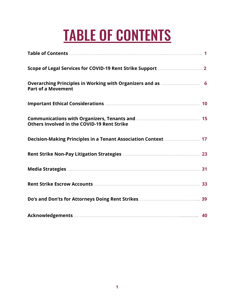# TABLE OF CONTENTS

| <b>Part of a Movement</b>                                      |
|----------------------------------------------------------------|
|                                                                |
| Others Involved in the COVID-19 Rent Strike                    |
| Decision-Making Principles in a Tenant Association Context  17 |
|                                                                |
|                                                                |
|                                                                |
|                                                                |
|                                                                |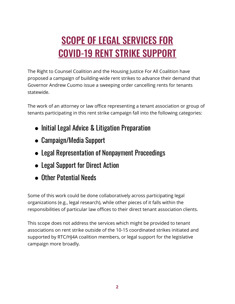# **SCOPE OF LEGAL SERVICES FOR** COVID-19 RENT STRIKE SUPPORT

The Right to Counsel Coalition and the Housing Justice For All Coalition have proposed a campaign of building-wide rent strikes to advance their demand that Governor Andrew Cuomo issue a sweeping order cancelling rents for tenants statewide.

The work of an attorney or law office representing a tenant association or group of tenants participating in this rent strike campaign fall into the following categories:

- Initial Legal Advice & Litigation Preparation
- Campaign/Media Support
- Legal Representation of Nonpayment Proceedings
- Legal Support for Direct Action
- Other Potential Needs

Some of this work could be done collaboratively across participating legal organizations (e.g., legal research), while other pieces of it falls within the responsibilities of particular law offices to their direct tenant association clients.

This scope does not address the services which might be provided to tenant associations on rent strike outside of the 10-15 coordinated strikes initiated and supported by RTC/HJ4A coalition members, or legal support for the legislative campaign more broadly.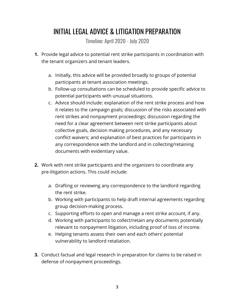## INITIAL LEGAL ADVICE & LITIGATION PREPARATION

Timeline: April 2020 - July 2020

- **1.** Provide legal advice to potential rent strike participants in coordination with the tenant organizers and tenant leaders.
	- a. Initially, this advice will be provided broadly to groups of potential participants at tenant association meetings.
	- b. Follow-up consultations can be scheduled to provide specific advice to potential participants with unusual situations.
	- c. Advice should include: explanation of the rent strike process and how it relates to the campaign goals; discussion of the risks associated with rent strikes and nonpayment proceedings; discussion regarding the need for a clear agreement between rent strike participants about collective goals, decision making procedures, and any necessary conflict waivers; and explanation of best practices for participants in any correspondence with the landlord and in collecting/retaining documents with evidentiary value.
- **2.** Work with rent strike participants and the organizers to coordinate any pre-litigation actions. This could include:
	- a. Drafting or reviewing any correspondence to the landlord regarding the rent strike.
	- b. Working with participants to help draft internal agreements regarding group decision-making process.
	- c. Supporting efforts to open and manage a rent strike account, if any.
	- d. Working with participants to collect/retain any documents potentially relevant to nonpayment litigation, including proof of loss of income.
	- e. Helping tenants assess their own and each others' potential vulnerability to landlord retaliation.
- **3.** Conduct factual and legal research in preparation for claims to be raised in defense of nonpayment proceedings.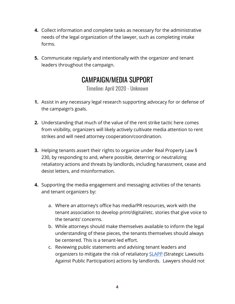- **4.** Collect information and complete tasks as necessary for the administrative needs of the legal organization of the lawyer, such as completing intake forms.
- **5.** Communicate regularly and intentionally with the organizer and tenant leaders throughout the campaign.

## CAMPAIGN/MEDIA SUPPORT

Timeline: April 2020 - Unknown

- **1.** Assist in any necessary legal research supporting advocacy for or defense of the campaign's goals.
- **2.** Understanding that much of the value of the rent strike tactic here comes from visibility, organizers will likely actively cultivate media attention to rent strikes and will need attorney cooperation/coordination.
- **3.** Helping tenants assert their rights to organize under Real Property Law § 230, by responding to and, where possible, deterring or neutralizing retaliatory actions and threats by landlords, including harassment, cease and desist letters, and misinformation.
- **4.** Supporting the media engagement and messaging activities of the tenants and tenant organizers by:
	- a. Where an attorney's office has media/PR resources, work with the tenant association to develop print/digital/etc. stories that give voice to the tenants' concerns.
	- b. While attorneys should make themselves available to inform the legal understanding of these pieces, the tenants themselves should always be centered. This is a tenant-led effort.
	- c. Reviewing public statements and advising tenant leaders and organizers to mitigate the risk of retaliatory **SLAPP** (Strategic Lawsuits Against Public Participation) actions by landlords. Lawyers should not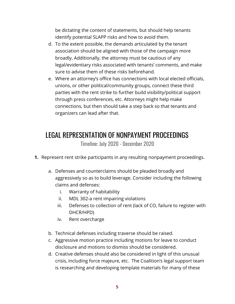be dictating the content of statements, but should help tenants identify potential SLAPP risks and how to avoid them.

- d. To the extent possible, the demands articulated by the tenant association should be aligned with those of the campaign more broadly. Additionally, the attorney must be cautious of any legal/evidentiary risks associated with tenants' comments, and make sure to advise them of these risks beforehand.
- e. Where an attorney's office has connections with local elected officials, unions, or other political/community groups, connect these third parties with the rent strike to further build visibility/political support through press conferences, etc. Attorneys might help make connections, but then should take a step back so that tenants and organizers can lead after that.

#### LEGAL REPRESENTATION OF NONPAYMENT PROCEEDINGS

Timeline: July 2020 - December 2020

- **1.** Represent rent strike participants in any resulting nonpayment proceedings.
	- a. Defenses and counterclaims should be pleaded broadly and aggressively so as to build leverage. Consider including the following claims and defenses:
		- i. Warranty of habitability
		- ii. MDL 302-a rent impairing violations
		- iii. Defenses to collection of rent (lack of CO, failure to register with DHCR/HPD)
		- iv. Rent overcharge
	- b. Technical defenses including traverse should be raised.
	- c. Aggressive motion practice including motions for leave to conduct disclosure and motions to dismiss should be considered.
	- d. Creative defenses should also be considered in light of this unusual crisis, including force majeure, etc. The Coalition's legal support team is researching and developing template materials for many of these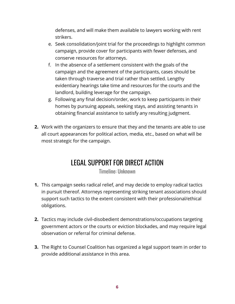defenses, and will make them available to lawyers working with rent strikers.

- e. Seek consolidation/joint trial for the proceedings to highlight common campaign, provide cover for participants with fewer defenses, and conserve resources for attorneys.
- f. In the absence of a settlement consistent with the goals of the campaign and the agreement of the participants, cases should be taken through traverse and trial rather than settled. Lengthy evidentiary hearings take time and resources for the courts and the landlord, building leverage for the campaign.
- g. Following any final decision/order, work to keep participants in their homes by pursuing appeals, seeking stays, and assisting tenants in obtaining financial assistance to satisfy any resulting judgment.
- **2.** Work with the organizers to ensure that they and the tenants are able to use all court appearances for political action, media, etc., based on what will be most strategic for the campaign.

# LEGAL SUPPORT FOR DIRECT ACTION

Timeline: Unknown

- **1.** This campaign seeks radical relief, and may decide to employ radical tactics in pursuit thereof. Attorneys representing striking tenant associations should support such tactics to the extent consistent with their professional/ethical obligations.
- **2.** Tactics may include civil-disobedient demonstrations/occupations targeting government actors or the courts or eviction blockades, and may require legal observation or referral for criminal defense.
- **3.** The Right to Counsel Coalition has organized a legal support team in order to provide additional assistance in this area.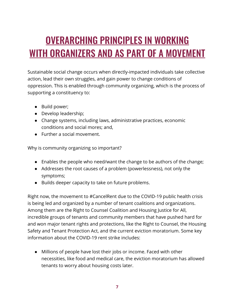# <span id="page-7-0"></span>OVERARCHING PRINCIPLES IN WORKING WITH ORGANIZERS AND AS PART OF A MOVEMENT

Sustainable social change occurs when directly-impacted individuals take collective action, lead their own struggles, and gain power to change conditions of oppression. This is enabled through community organizing, which is the process of supporting a constituency to:

- Build power;
- Develop leadership;
- Change systems, including laws, administrative practices, economic conditions and social mores; and,
- Further a social movement.

Why is community organizing so important?

- Enables the people who need/want the change to be authors of the change;
- Addresses the root causes of a problem (powerlessness), not only the symptoms;
- Builds deeper capacity to take on future problems.

Right now, the movement to #CancelRent due to the COVID-19 public health crisis is being led and organized by a number of tenant coalitions and organizations. Among them are the Right to Counsel Coalition and Housing Justice for All, incredible groups of tenants and community members that have pushed hard for and won major tenant rights and protections, like the Right to Counsel, the Housing Safety and Tenant Protection Act, and the current eviction moratorium. Some key information about the COVID-19 rent strike includes:

● Millions of people have lost their jobs or income. Faced with other necessities, like food and medical care, the eviction moratorium has allowed tenants to worry about housing costs later.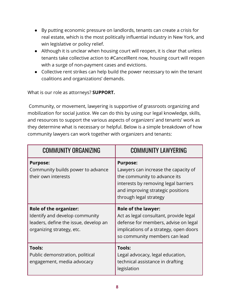- By putting economic pressure on landlords, tenants can create a crisis for real estate, which is the most politically influential industry in New York, and win legislative or policy relief.
- Although it is unclear when housing court will reopen, it is clear that unless tenants take collective action to #CancelRent now, housing court will reopen with a surge of non-payment cases and evictions.
- Collective rent strikes can help build the power necessary to win the tenant coalitions and organizations' demands.

What is our role as attorneys? **SUPPORT.**

Community, or movement, lawyering is supportive of grassroots organizing and mobilization for social justice. We can do this by using our legal knowledge, skills, and resources to support the various aspects of organizers' and tenants' work as they determine what is necessary or helpful. Below is a simple breakdown of how community lawyers can work together with organizers and tenants:

| <b>COMMUNITY ORGANIZING</b>                                                                                                           | <b>COMMUNITY LAWYERING</b>                                                                                                                                                                     |
|---------------------------------------------------------------------------------------------------------------------------------------|------------------------------------------------------------------------------------------------------------------------------------------------------------------------------------------------|
| <b>Purpose:</b><br>Community builds power to advance<br>their own interests                                                           | <b>Purpose:</b><br>Lawyers can increase the capacity of<br>the community to advance its<br>interests by removing legal barriers<br>and improving strategic positions<br>through legal strategy |
| <b>Role of the organizer:</b><br>Identify and develop community<br>leaders, define the issue, develop an<br>organizing strategy, etc. | <b>Role of the lawyer:</b><br>Act as legal consultant, provide legal<br>defense for members, advise on legal<br>implications of a strategy, open doors<br>so community members can lead        |
| <b>Tools:</b><br>Public demonstration, political<br>engagement, media advocacy                                                        | Tools:<br>Legal advocacy, legal education,<br>technical assistance in drafting<br>legislation                                                                                                  |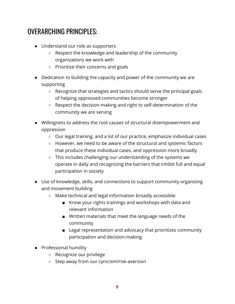## OVERARCHING PRINCIPLES:

- Understand our role as supporters
	- Respect the knowledge and leadership of the community organizations we work with
	- Prioritize their concerns and goals
- Dedication to building the capacity and power of the community we are supporting
	- Recognize that strategies and tactics should serve the principal goals of helping oppressed communities become stronger
	- Respect the decision-making and right to self-determination of the community we are serving
- Willingness to address the root causes of structural disempowerment and oppression
	- Our legal training, and a lot of our practice, emphasize individual cases
	- However, we need to be aware of the structural and systemic factors that produce these individual cases, and oppression more broadly
	- This includes challenging our understanding of the systems we operate in daily and recognizing the barriers that inhibit full and equal participation in society
- Use of knowledge, skills, and connections to support community organizing and movement building
	- Make technical and legal information broadly accessible:
		- Know your rights trainings and workshops with data and relevant information
		- Written materials that meet the language needs of the community
		- Legal representation and advocacy that prioritizes community participation and decision-making
- Professional humility
	- Recognize our privilege
	- Step away from our cynicism/risk-aversion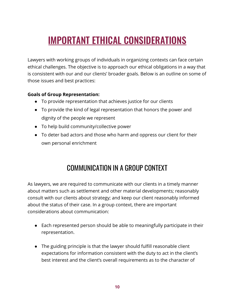# <span id="page-10-0"></span>IMPORTANT ETHICAL CONSIDERATIONS

Lawyers with working groups of individuals in organizing contexts can face certain ethical challenges. The objective is to approach our ethical obligations in a way that is consistent with our and our clients' broader goals. Below is an outline on some of those issues and best practices:

#### **Goals of Group Representation:**

- To provide representation that achieves justice for our clients
- To provide the kind of legal representation that honors the power and dignity of the people we represent
- To help build community/collective power
- To deter bad actors and those who harm and oppress our client for their own personal enrichment

## COMMUNICATION IN A GROUP CONTEXT

As lawyers, we are required to communicate with our clients in a timely manner about matters such as settlement and other material developments; reasonably consult with our clients about strategy; and keep our client reasonably informed about the status of their case. In a group context, there are important considerations about communication:

- Each represented person should be able to meaningfully participate in their representation.
- The guiding principle is that the lawyer should fulfill reasonable client expectations for information consistent with the duty to act in the client's best interest and the client's overall requirements as to the character of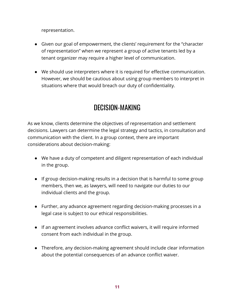representation.

- Given our goal of empowerment, the clients' requirement for the "character of representation" when we represent a group of active tenants led by a tenant organizer may require a higher level of communication.
- We should use interpreters where it is required for effective communication. However, we should be cautious about using group members to interpret in situations where that would breach our duty of confidentiality.

## DECISION-MAKING

As we know, clients determine the objectives of representation and settlement decisions. Lawyers can determine the legal strategy and tactics, in consultation and communication with the client. In a group context, there are important considerations about decision-making:

- We have a duty of competent and diligent representation of each individual in the group.
- If group decision-making results in a decision that is harmful to some group members, then we, as lawyers, will need to navigate our duties to our individual clients and the group.
- Further, any advance agreement regarding decision-making processes in a legal case is subject to our ethical responsibilities.
- If an agreement involves advance conflict waivers, it will require informed consent from each individual in the group.
- Therefore, any decision-making agreement should include clear information about the potential consequences of an advance conflict waiver.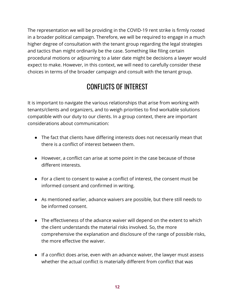The representation we will be providing in the COVID-19 rent strike is firmly rooted in a broader political campaign. Therefore, we will be required to engage in a much higher degree of consultation with the tenant group regarding the legal strategies and tactics than might ordinarily be the case. Something like filing certain procedural motions or adjourning to a later date might be decisions a lawyer would expect to make. However, in this context, we will need to carefully consider these choices in terms of the broader campaign and consult with the tenant group.

## CONFLICTS OF INTEREST

It is important to navigate the various relationships that arise from working with tenants/clients and organizers, and to weigh priorities to find workable solutions compatible with our duty to our clients. In a group context, there are important considerations about communication:

- The fact that clients have differing interests does not necessarily mean that there is a conflict of interest between them.
- However, a conflict can arise at some point in the case because of those different interests.
- For a client to consent to waive a conflict of interest, the consent must be informed consent and confirmed in writing.
- As mentioned earlier, advance waivers are possible, but there still needs to be informed consent.
- The effectiveness of the advance waiver will depend on the extent to which the client understands the material risks involved. So, the more comprehensive the explanation and disclosure of the range of possible risks, the more effective the waiver.
- If a conflict does arise, even with an advance waiver, the lawyer must assess whether the actual conflict is materially different from conflict that was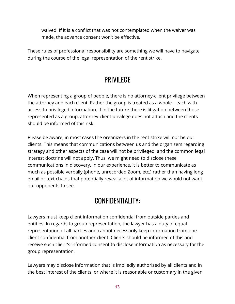waived. If it is a conflict that was not contemplated when the waiver was made, the advance consent won't be effective.

These rules of professional responsibility are something we will have to navigate during the course of the legal representation of the rent strike.

## **PRIVIL FGF**

When representing a group of people, there is no attorney-client privilege between the attorney and each client. Rather the group is treated as a whole—each with access to privileged information. If in the future there is litigation between those represented as a group, attorney-client privilege does not attach and the clients should be informed of this risk.

Please be aware, in most cases the organizers in the rent strike will not be our clients. This means that communications between us and the organizers regarding strategy and other aspects of the case will not be privileged, and the common legal interest doctrine will not apply. Thus, we might need to disclose these communications in discovery. In our experience, it is better to communicate as much as possible verbally (phone, unrecorded Zoom, etc.) rather than having long email or text chains that potentially reveal a lot of information we would not want our opponents to see.

#### CONFIDENTIALITY:

Lawyers must keep client information confidential from outside parties and entities. In regards to group representation, the lawyer has a duty of equal representation of all parties and cannot necessarily keep information from one client confidential from another client. Clients should be informed of this and receive each client's informed consent to disclose information as necessary for the group representation.

Lawyers may disclose information that is impliedly authorized by all clients and in the best interest of the clients, or where it is reasonable or customary in the given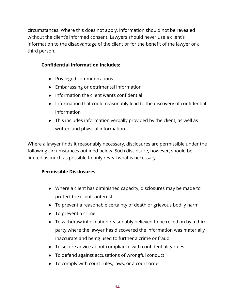circumstances. Where this does not apply, information should not be revealed without the client's informed consent. Lawyers should never use a client's information to the disadvantage of the client or for the benefit of the lawyer or a third person.

#### **Confidential information includes:**

- Privileged communications
- Embarassing or detrimental information
- Information the client wants confidential
- Information that could reasonably lead to the discovery of confidential information
- This includes information verbally provided by the client, as well as written and physical information

Where a lawyer finds it reasonably necessary, disclosures are permissible under the following circumstances outlined below. Such disclosure, however, should be limited as much as possible to only reveal what is necessary.

#### **Permissible Disclosures:**

- Where a client has diminished capacity, disclosures may be made to protect the client's interest
- To prevent a reasonable certainty of death or grievous bodily harm
- To prevent a crime
- To withdraw information reasonably believed to be relied on by a third party where the lawyer has discovered the information was materially inaccurate and being used to further a crime or fraud
- To secure advice about compliance with confidentiality rules
- To defend against accusations of wrongful conduct
- To comply with court rules, laws, or a court order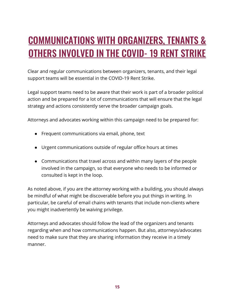# <span id="page-15-0"></span>COMMUNICATIONS WITH ORGANIZERS, TENANTS & OTHERS INVOLVED IN THE COVID- 19 RENT STRIKE

Clear and regular communications between organizers, tenants, and their legal support teams will be essential in the COVID-19 Rent Strike.

Legal support teams need to be aware that their work is part of a broader political action and be prepared for a lot of communications that will ensure that the legal strategy and actions consistently serve the broader campaign goals.

Attorneys and advocates working within this campaign need to be prepared for:

- Frequent communications via email, phone, text
- Urgent communications outside of regular office hours at times
- Communications that travel across and within many layers of the people involved in the campaign, so that everyone who needs to be informed or consulted is kept in the loop.

As noted above, if you are the attorney working with a building, you should always be mindful of what might be discoverable before you put things in writing. In particular, be careful of email chains with tenants that include non-clients where you might inadvertently be waiving privilege.

Attorneys and advocates should follow the lead of the organizers and tenants regarding when and how communications happen. But also, attorneys/advocates need to make sure that they are sharing information they receive in a timely manner.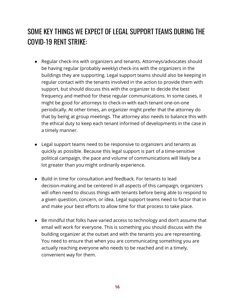# SOME KEY THINGS WE EXPECT OF LEGAL SUPPORT TEAMS DURING THE COVID-19 RENT STRIKE:

- Regular check-ins with organizers and tenants. Attorneys/advocates should be having regular (probably weekly) check-ins with the organizers in the buildings they are supporting. Legal support teams should also be keeping in regular contact with the tenants involved in the action to provide them with support, but should discuss this with the organizer to decide the best frequency and method for these regular communications. In some cases, it might be good for attorneys to check-in with each tenant one-on-one periodically. At other times, an organizer might prefer that the attorney do that by being at group meetings. The attorney also needs to balance this with the ethical duty to keep each tenant informed of developments in the case in a timely manner.
- Legal support teams need to be responsive to organizers and tenants as quickly as possible. Because this legal support is part of a time-sensitive political campaign, the pace and volume of communications will likely be a lot greater than you might ordinarily experience.
- Build in time for consultation and feedback. For tenants to lead decision-making and be centered in all aspects of this campaign, organizers will often need to discuss things with tenants before being able to respond to a given question, concern, or idea. Legal support teams need to factor that in and make your best efforts to allow time for that process to take place.
- Be mindful that folks have varied access to technology and don't assume that email will work for everyone. This is something you should discuss with the building organizer at the outset and with the tenants you are representing. You need to ensure that when you are communicating something you are actually reaching everyone who needs to be reached and in a timely, convenient way for them.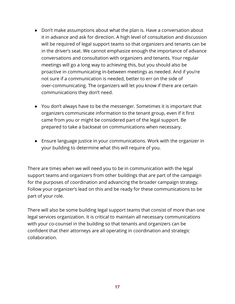- Don't make assumptions about what the plan is. Have a conversation about it in advance and ask for direction. A high level of consultation and discussion will be required of legal support teams so that organizers and tenants can be in the driver's seat. We cannot emphasize enough the importance of advance conversations and consultation with organizers and tenants. Your regular meetings will go a long way to achieving this, but you should also be proactive in communicating in-between meetings as needed. And if you're not sure if a communication is needed, better to err on the side of over-communicating. The organizers will let you know if there are certain communications they don't need.
- You don't always have to be the messenger. Sometimes it is important that organizers communicate information to the tenant group, even if it first came from you or might be considered part of the legal support. Be prepared to take a backseat on communications when necessary.
- Ensure language justice in your communications. Work with the organizer in your building to determine what this will require of you.

There are times when we will need you to be in communication with the legal support teams and organizers from other buildings that are part of the campaign for the purposes of coordination and advancing the broader campaign strategy. Follow your organizer's lead on this and be ready for these communications to be part of your role.

There will also be some building legal support teams that consist of more than one legal services organization. It is critical to maintain all necessary communications with your co-counsel in the building so that tenants and organizers can be confident that their attorneys are all operating in coordination and strategic collaboration.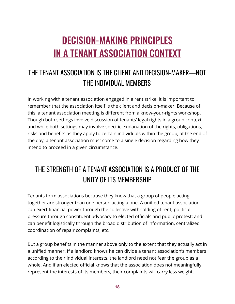# <span id="page-18-0"></span>DECISION-MAKING PRINCIPLES IN A TENANT ASSOCIATION CONTEXT

# THE TENANT ASSOCIATION IS THE CLIENT AND DECISION-MAKER—NOT THE INDIVIDUAL MEMBERS

In working with a tenant association engaged in a rent strike, it is important to remember that the association itself is the client and decision-maker. Because of this, a tenant association meeting is different from a know-your-rights workshop. Though both settings involve discussion of tenants' legal rights in a group context, and while both settings may involve specific explanation of the rights, obligations, risks and benefits as they apply to certain individuals within the group, at the end of the day, a tenant association must come to a single decision regarding how they intend to proceed in a given circumstance.

## THE STRENGTH OF A TENANT ASSOCIATION IS A PRODUCT OF THE UNITY OF ITS MEMBERSHIP

Tenants form associations because they know that a group of people acting together are stronger than one person acting alone. A unified tenant association can exert financial power through the collective withholding of rent; political pressure through constituent advocacy to elected officials and public protest; and can benefit logistically through the broad distribution of information, centralized coordination of repair complaints, etc.

But a group benefits in the manner above only to the extent that they actually act in a unified manner. If a landlord knows he can divide a tenant association's members according to their individual interests, the landlord need not fear the group as a whole. And if an elected official knows that the association does not meaningfully represent the interests of its members, their complaints will carry less weight.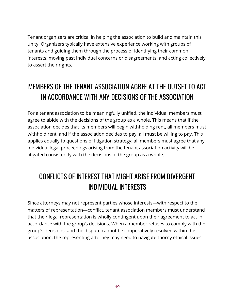Tenant organizers are critical in helping the association to build and maintain this unity. Organizers typically have extensive experience working with groups of tenants and guiding them through the process of identifying their common interests, moving past individual concerns or disagreements, and acting collectively to assert their rights.

# MEMBERS OF THE TENANT ASSOCIATION AGREE AT THE OUTSET TO ACT IN ACCORDANCE WITH ANY DECISIONS OF THE ASSOCIATION

For a tenant association to be meaningfully unified, the individual members must agree to abide with the decisions of the group as a whole. This means that if the association decides that its members will begin withholding rent, all members must withhold rent, and if the association decides to pay, all must be willing to pay. This applies equally to questions of litigation strategy: all members must agree that any individual legal proceedings arising from the tenant association activity will be litigated consistently with the decisions of the group as a whole.

## CONFLICTS OF INTEREST THAT MIGHT ARISE FROM DIVERGENT INDIVIDUAL INTERESTS

Since attorneys may not represent parties whose interests—with respect to the matters of representation—conflict, tenant association members must understand that their legal representation is wholly contingent upon their agreement to act in accordance with the group's decisions. When a member refuses to comply with the group's decisions, and the dispute cannot be cooperatively resolved within the association, the representing attorney may need to navigate thorny ethical issues.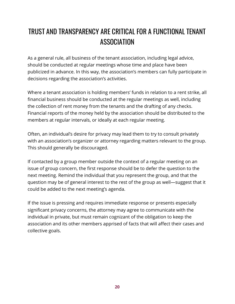# TRUST AND TRANSPARENCY ARE CRITICAL FOR A FUNCTIONAL TENANT **ASSOCIATION**

As a general rule, all business of the tenant association, including legal advice, should be conducted at regular meetings whose time and place have been publicized in advance. In this way, the association's members can fully participate in decisions regarding the association's activities.

Where a tenant association is holding members' funds in relation to a rent strike, all financial business should be conducted at the regular meetings as well, including the collection of rent money from the tenants and the drafting of any checks. Financial reports of the money held by the association should be distributed to the members at regular intervals, or ideally at each regular meeting.

Often, an individual's desire for privacy may lead them to try to consult privately with an association's organizer or attorney regarding matters relevant to the group. This should generally be discouraged.

If contacted by a group member outside the context of a regular meeting on an issue of group concern, the first response should be to defer the question to the next meeting. Remind the individual that you represent the group, and that the question may be of general interest to the rest of the group as well—suggest that it could be added to the next meeting's agenda.

If the issue is pressing and requires immediate response or presents especially significant privacy concerns, the attorney may agree to communicate with the individual in private, but must remain cognizant of the obligation to keep the association and its other members apprised of facts that will affect their cases and collective goals.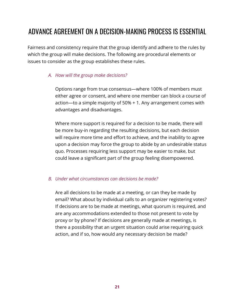## ADVANCE AGREEMENT ON A DECISION-MAKING PROCESS IS ESSENTIAL

Fairness and consistency require that the group identify and adhere to the rules by which the group will make decisions. The following are procedural elements or issues to consider as the group establishes these rules.

#### *A. How will the group make decisions?*

Options range from true consensus—where 100% of members must either agree or consent, and where one member can block a course of action—to a simple majority of 50% + 1. Any arrangement comes with advantages and disadvantages.

Where more support is required for a decision to be made, there will be more buy-in regarding the resulting decisions, but each decision will require more time and effort to achieve, and the inability to agree upon a decision may force the group to abide by an undesirable status quo. Processes requiring less support may be easier to make, but could leave a significant part of the group feeling disempowered.

#### *B. Under what circumstances can decisions be made?*

Are all decisions to be made at a meeting, or can they be made by email? What about by individual calls to an organizer registering votes? If decisions are to be made at meetings, what quorum is required, and are any accommodations extended to those not present to vote by proxy or by phone? If decisions are generally made at meetings, is there a possibility that an urgent situation could arise requiring quick action, and if so, how would any necessary decision be made?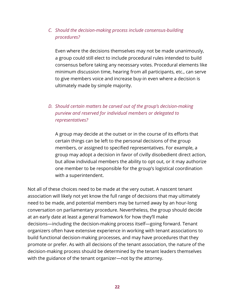#### *C. Should the decision-making process include consensus-building procedures?*

Even where the decisions themselves may not be made unanimously, a group could still elect to include procedural rules intended to build consensus before taking any necessary votes. Procedural elements like minimum discussion time, hearing from all participants, etc., can serve to give members voice and increase buy-in even where a decision is ultimately made by simple majority.

#### *D. Should certain matters be carved out of the group's decision-making purview and reserved for individual members or delegated to representatives?*

A group may decide at the outset or in the course of its efforts that certain things can be left to the personal decisions of the group members, or assigned to specified representatives. For example, a group may adopt a decision in favor of civilly disobedient direct action, but allow individual members the ability to opt out, or it may authorize one member to be responsible for the group's logistical coordination with a superintendent.

Not all of these choices need to be made at the very outset. A nascent tenant association will likely not yet know the full range of decisions that may ultimately need to be made, and potential members may be turned away by an hour-long conversation on parliamentary procedure. Nevertheless, the group should decide at an early date at least a general framework for how they'll make decisions—including the decision-making process itself—going forward. Tenant organizers often have extensive experience in working with tenant associations to build functional decision-making processes, and may have procedures that they promote or prefer. As with all decisions of the tenant association, the nature of the decision-making process should be determined by the tenant leaders themselves with the guidance of the tenant organizer—not by the attorney.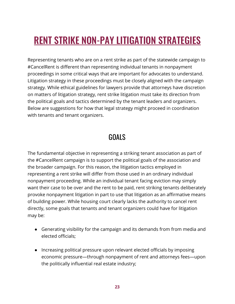# <span id="page-23-0"></span>RENT STRIKE NON-PAY LITIGATION STRATEGIES

Representing tenants who are on a rent strike as part of the statewide campaign to #CancelRent is different than representing individual tenants in nonpayment proceedings in some critical ways that are important for advocates to understand. Litigation strategy in these proceedings must be closely aligned with the campaign strategy. While ethical guidelines for lawyers provide that attorneys have discretion on matters of litigation strategy, rent strike litigation must take its direction from the political goals and tactics determined by the tenant leaders and organizers. Below are suggestions for how that legal strategy might proceed in coordination with tenants and tenant organizers.

#### GOALS

The fundamental objective in representing a striking tenant association as part of the #CancelRent campaign is to support the political goals of the association and the broader campaign. For this reason, the litigation tactics employed in representing a rent strike will differ from those used in an ordinary individual nonpayment proceeding. While an individual tenant facing eviction may simply want their case to be over and the rent to be paid, rent striking tenants deliberately provoke nonpayment litigation in part to use that litigation as an affirmative means of building power. While housing court clearly lacks the authority to cancel rent directly, some goals that tenants and tenant organizers could have for litigation may be:

- Generating visibility for the campaign and its demands from from media and elected officials;
- Increasing political pressure upon relevant elected officials by imposing economic pressure—through nonpayment of rent and attorneys fees—upon the politically influential real estate industry;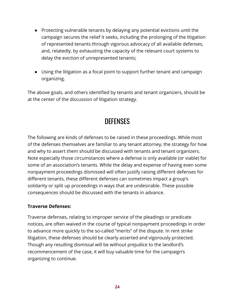- Protecting vulnerable tenants by delaying any potential evictions until the campaign secures the relief it seeks, including the prolonging of the litigation of represented tenants through vigorous advocacy of all available defenses, and, relatedly, by exhausting the capacity of the relevant court systems to delay the eviction of unrepresented tenants;
- Using the litigation as a focal point to support further tenant and campaign organizing.

The above goals, and others identified by tenants and tenant organizers, should be at the center of the discussion of litigation strategy.

#### **DEFENSES**

The following are kinds of defenses to be raised in these proceedings. While most of the defenses themselves are familiar to any tenant attorney, the strategy for how and why to assert them should be discussed with tenants and tenant organizers. Note especially those circumstances where a defense is only available (or viable) for some of an association's tenants. While the delay and expense of having even some nonpayment proceedings dismissed will often justify raising different defenses for different tenants, these different defenses can sometimes impact a group's solidarity or split up proceedings in ways that are undesirable. These possible consequences should be discussed with the tenants in advance.

#### **Traverse Defenses:**

Traverse defenses, relating to improper service of the pleadings or predicate notices, are often waived in the course of typical nonpayment proceedings in order to advance more quickly to the so-called "merits" of the dispute. In rent strike litigation, these defenses should be clearly asserted and vigorously protected. Though any resulting dismissal will be without prejudice to the landlord's recommencement of the case, it will buy valuable time for the campaign's organizing to continue.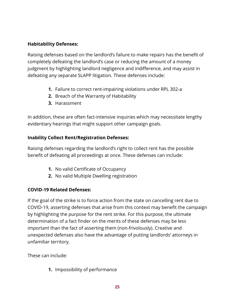#### **Habitability Defenses:**

Raising defenses based on the landlord's failure to make repairs has the benefit of completely defeating the landlord's case or reducing the amount of a money judgment by highlighting landlord negligence and indifference, and may assist in defeating any separate SLAPP litigation. These defenses include:

- **1.** Failure to correct rent-impairing violations under RPL 302-a
- **2.** Breach of the Warranty of Habitability
- **3.** Harassment

In addition, these are often fact-intensive inquiries which may necessitate lengthy evidentiary hearings that might support other campaign goals.

#### **Inability Collect Rent/Registration Defenses:**

Raising defenses regarding the landlord's right to collect rent has the possible benefit of defeating all proceedings at once. These defenses can include:

- **1.** No valid Certificate of Occupancy
- **2.** No valid Multiple Dwelling registration

#### **COVID-19 Related Defenses:**

If the goal of the strike is to force action from the state on cancelling rent due to COVID-19, asserting defenses that arise from this context may benefit the campaign by highlighting the purpose for the rent strike. For this purpose, the ultimate determination of a fact finder on the merits of these defenses may be less important than the fact of asserting them (non-frivolously). Creative and unexpected defenses also have the advantage of putting landlords' attorneys in unfamiliar territory.

These can include:

**1.** Impossibility of performance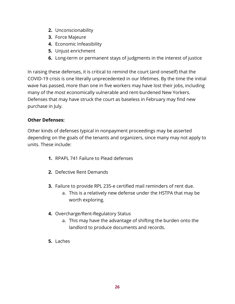- **2.** Unconscionability
- **3.** Force Majeure
- **4.** Economic Infeasibility
- **5.** Unjust enrichment
- **6.** Long-term or permanent stays of judgments in the interest of justice

In raising these defenses, it is critical to remind the court (and oneself) that the COVID-19 crisis is one literally unprecedented in our lifetimes. By the time the initial wave has passed, more than one in five workers may have lost their jobs, including many of the most economically vulnerable and rent-burdened New Yorkers. Defenses that may have struck the court as baseless in February may find new purchase in July.

#### **Other Defenses:**

Other kinds of defenses typical in nonpayment proceedings may be asserted depending on the goals of the tenants and organizers, since many may not apply to units. These include:

- **1.** RPAPL 741 Failure to Plead defenses
- **2.** Defective Rent Demands
- **3.** Failure to provide RPL 235-e certified mail reminders of rent due.
	- a. This is a relatively new defense under the HSTPA that may be worth exploring.
- **4.** Overcharge/Rent-Regulatory Status
	- a. This may have the advantage of shifting the burden onto the landlord to produce documents and records.
- **5.** Laches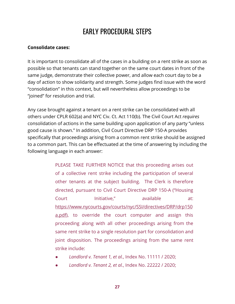## EARLY PROCEDURAL STEPS

#### **Consolidate cases:**

It is important to consolidate all of the cases in a building on a rent strike as soon as possible so that tenants can stand together on the same court dates in front of the same judge, demonstrate their collective power, and allow each court day to be a day of action to show solidarity and strength. Some judges find issue with the word "consolidation" in this context, but will nevertheless allow proceedings to be "joined" for resolution and trial.

Any case brought against a tenant on a rent strike can be consolidated with all others under CPLR 602(a) and NYC Civ. Ct. Act 110(b). The Civil Court Act *requires* consolidation of actions in the same building upon application of any party "unless good cause is shown." In addition, Civil Court Directive DRP 150-A provides specifically that proceedings arising from a common rent strike should be assigned to a common part. This can be effectuated at the time of answering by including the following language in each answer:

> PLEASE TAKE FURTHER NOTICE that this proceeding arises out of a collective rent strike including the participation of several other tenants at the subject building. The Clerk is therefore directed, pursuant to Civil Court Directive DRP 150-A ("Housing Court Initiative." available at: https://www.nycourts.gov/courts/nyc/SSI/directives/DRP/drp150 a.pdf), to override the court computer and assign this proceeding along with all other proceedings arising from the same rent strike to a single resolution part for consolidation and joint disposition. The proceedings arising from the same rent strike include:

- *Landlord v. Tenant 1, et al.*, Index No. 11111 / 2020;
- *Landlord v. Tenant 2, et al.*, Index No. 22222 / 2020;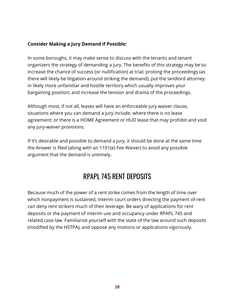#### **Consider Making a Jury Demand if Possible:**

In some boroughs, it may make sense to discuss with the tenants and tenant organizers the strategy of demanding a jury. The benefits of this strategy may be to: increase the chance of success (or nullification) at trial; prolong the proceedings (as there will likely be litigation around striking the demand); put the landlord attorney in likely more unfamiliar and hostile territory which usually improves your bargaining position; and increase the tension and drama of the proceedings.

Although most, if not all, leases will have an enforceable jury waiver clause, situations where you can demand a jury include: where there is no lease agreement; or there is a HOME Agreement or HUD lease that may prohibit and void any jury-waiver provisions.

If it's desirable and possible to demand a jury, it should be done at the same time the Answer is filed (along with an 1101(e) Fee Waiver) to avoid any possible argument that the demand is untimely.

## RPAPL 745 RENT DEPOSITS

Because much of the power of a rent strike comes from the length of time over which nonpayment is sustained, interim court orders directing the payment of rent can deny rent strikers much of their leverage. Be wary of applications for rent deposits or the payment of interim use and occupancy under RPAPL 745 and related case law. Familiarize yourself with the state of the law around such deposits (modified by the HSTPA), and oppose any motions or applications vigorously.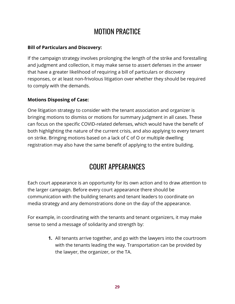## MOTION PRACTICE

#### **Bill of Particulars and Discovery:**

If the campaign strategy involves prolonging the length of the strike and forestalling and judgment and collection, it may make sense to assert defenses in the answer that have a greater likelihood of requiring a bill of particulars or discovery responses, or at least non-frivolous litigation over whether they should be required to comply with the demands.

#### **Motions Disposing of Case:**

One litigation strategy to consider with the tenant association and organizer is bringing motions to dismiss or motions for summary judgment in all cases. These can focus on the specific COVID-related defenses, which would have the benefit of both highlighting the nature of the current crisis, and also applying to every tenant on strike. Bringing motions based on a lack of C of O or multiple dwelling registration may also have the same benefit of applying to the entire building.

## COURT APPEARANCES

Each court appearance is an opportunity for its own action and to draw attention to the larger campaign. Before every court appearance there should be communication with the building tenants and tenant leaders to coordinate on media strategy and any demonstrations done on the day of the appearance.

For example, in coordinating with the tenants and tenant organizers, it may make sense to send a message of solidarity and strength by:

> **1.** All tenants arrive together, and go with the lawyers into the courtroom with the tenants leading the way. Transportation can be provided by the lawyer, the organizer, or the TA.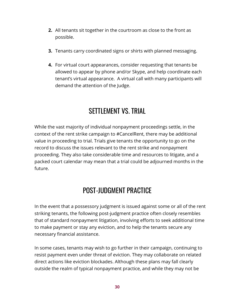- **2.** All tenants sit together in the courtroom as close to the front as possible.
- **3.** Tenants carry coordinated signs or shirts with planned messaging.
- **4.** For virtual court appearances, consider requesting that tenants be allowed to appear by phone and/or Skype, and help coordinate each tenant's virtual appearance. A virtual call with many participants will demand the attention of the Judge.

#### SETTLEMENT VS. TRIAL

While the vast majority of individual nonpayment proceedings settle, in the context of the rent strike campaign to #CancelRent, there may be additional value in proceeding to trial. Trials give tenants the opportunity to go on the record to discuss the issues relevant to the rent strike and nonpayment proceeding. They also take considerable time and resources to litigate, and a packed court calendar may mean that a trial could be adjourned months in the future.

## POST-JUDGMENT PRACTICE

In the event that a possessory judgment is issued against some or all of the rent striking tenants, the following post-judgment practice often closely resembles that of standard nonpayment litigation, involving efforts to seek additional time to make payment or stay any eviction, and to help the tenants secure any necessary financial assistance.

In some cases, tenants may wish to go further in their campaign, continuing to resist payment even under threat of eviction. They may collaborate on related direct actions like eviction blockades. Although these plans may fall clearly outside the realm of typical nonpayment practice, and while they may not be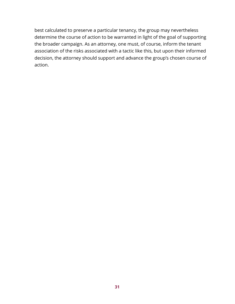best calculated to preserve a particular tenancy, the group may nevertheless determine the course of action to be warranted in light of the goal of supporting the broader campaign. As an attorney, one must, of course, inform the tenant association of the risks associated with a tactic like this, but upon their informed decision, the attorney should support and advance the group's chosen course of action.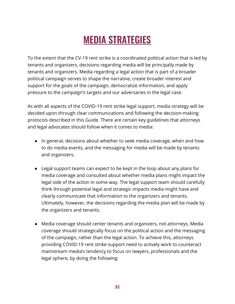# MEDIA STRATEGIES

<span id="page-32-0"></span>To the extent that the CV-19 rent strike is a coordinated political action that is led by tenants and organizers, decisions regarding media will be principally made by tenants and organizers. Media regarding a legal action that is part of a broader political campaign serves to shape the narrative, create broader interest and support for the goals of the campaign, democratize information, and apply pressure to the campaign's targets and our adversaries in the legal case.

As with all aspects of the COVID-19 rent strike legal support, media strategy will be decided upon through clear communications and following the decision-making protocols described in this Guide. There are certain key guidelines that attorneys and legal advocates should follow when it comes to media:

- In general, decisions about whether to seek media coverage, when and how to do media events, and the messaging for media will be made by tenants and organizers.
- Legal support teams can expect to be kept in the loop about any plans for media coverage and consulted about whether media plans might impact the legal side of the action in some way. The legal support team should carefully think through potential legal and strategic impacts media might have and clearly communicate that information to the organizers and tenants. Ultimately, however, the decisions regarding the media plan will be made by the organizers and tenants.
- Media coverage should center tenants and organizers, not attorneys. Media coverage should strategically focus on the political action and the messaging of the campaign, rather than the legal action. To achieve this, attorneys providing COVID-19 rent strike support need to actively work to counteract mainstream media's tendency to focus on lawyers, professionals and the legal sphere, by doing the following: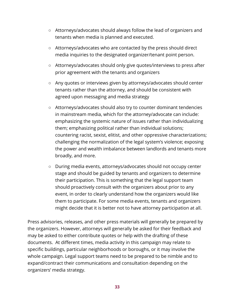- Attorneys/advocates should always follow the lead of organizers and tenants when media is planned and executed.
- Attorneys/advocates who are contacted by the press should direct media inquiries to the designated organizer/tenant point person.
- Attorneys/advocates should only give quotes/interviews to press after prior agreement with the tenants and organizers
- Any quotes or interviews given by attorneys/advocates should center tenants rather than the attorney, and should be consistent with agreed upon messaging and media strategy
- Attorneys/advocates should also try to counter dominant tendencies in mainstream media, which for the attorney/advocate can include: emphasizing the systemic nature of issues rather than individualizing them; emphasizing political rather than individual solutions; countering racist, sexist, elitist, and other oppressive characterizations; challenging the normalization of the legal system's violence; exposing the power and wealth imbalance between landlords and tenants more broadly, and more.
- During media events, attorneys/advocates should not occupy center stage and should be guided by tenants and organizers to determine their participation. This is something that the legal support team should proactively consult with the organizers about prior to any event, in order to clearly understand how the organizers would like them to participate. For some media events, tenants and organizers might decide that it is better not to have attorney participation at all.

Press advisories, releases, and other press materials will generally be prepared by the organizers. However, attorneys will generally be asked for their feedback and may be asked to either contribute quotes or help with the drafting of these documents. At different times, media activity in this campaign may relate to specific buildings, particular neighborhoods or boroughs, or it may involve the whole campaign. Legal support teams need to be prepared to be nimble and to expand/contract their communications and consultation depending on the organizers' media strategy.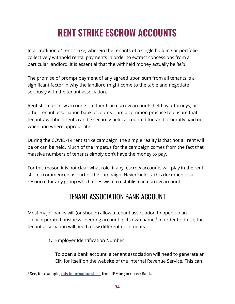# RENT STRIKE ESCROW ACCOUNTS

In a "traditional" rent strike, wherein the tenants of a single building or portfolio collectively withhold rental payments in order to extract concessions from a particular landlord, it is essential that the withheld money actually be *held*.

The promise of prompt payment of any agreed upon sum from all tenants is a significant factor in why the landlord might come to the table and negotiate seriously with the tenant association.

Rent strike escrow accounts—either true escrow accounts held by attorneys, or other tenant association bank accounts—are a common practice to ensure that tenants' withheld rents can be securely held, accounted for, and promptly paid out when and where appropriate.

During the COVID-19 rent strike campaign, the simple reality is that not all rent will be or can be held. Much of the impetus for the campaign comes from the fact that massive numbers of tenants simply don't have the money to pay.

For this reason it is not clear what role, if any, escrow accounts will play in the rent strikes commenced as part of the campaign. Nevertheless, this document is a resource for any group which does wish to establish an escrow account.

## TENANT ASSOCIATION BANK ACCOUNT

Most major banks will (or should) allow a tenant association to open up an unincorporated business checking account in its own name.<sup>1</sup> In order to do so, the tenant association will need a few different documents:

**1.** Employer Identification Number

To open a bank account, a tenant association will need to generate an EIN for itself on the website of the Internal Revenue Service. This can

<sup>&</sup>lt;sup>1</sup> See, for example, this [information](https://www.chase.com/content/dam/chasecom/en/business-banking/documents/unincorporated-business-checklist.pdf) sheet from JPMorgan Chase Bank.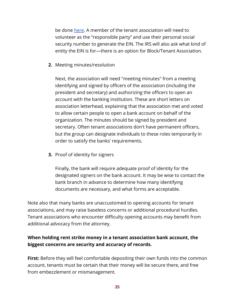be done [here.](https://www.irs.gov/businesses/small-businesses-self-employed/apply-for-an-employer-identification-number-ein-online) A member of the tenant association will need to volunteer as the "responsible party" and use their personal social security number to generate the EIN. The IRS will also ask what kind of entity the EIN is for—there is an option for Block/Tenant Association.

**2.** Meeting minutes/resolution

Next, the association will need "meeting minutes" from a meeting identifying and signed by officers of the association (including the president and secretary) and authorizing the officers to open an account with the banking institution. These are short letters on association letterhead, explaining that the association met and voted to allow certain people to open a bank account on behalf of the organization. The minutes should be signed by president and secretary. Often tenant associations don't have permanent officers, but the group can designate individuals to these roles temporarily in order to satisfy the banks' requirements.

**3.** Proof of identity for signers

Finally, the bank will require adequate proof of identity for the designated signers on the bank account. It may be wise to contact the bank branch in advance to determine how many identifying documents are necessary, and what forms are acceptable.

Note also that many banks are unaccustomed to opening accounts for tenant associations, and may raise baseless concerns or additional procedural hurdles. Tenant associations who encounter difficulty opening accounts may benefit from additional advocacy from the attorney.

#### **When holding rent strike money in a tenant association bank account, the biggest concerns are security and accuracy of records.**

**First:** Before they will feel comfortable depositing their own funds into the common account, tenants must be certain that their money will be secure there, and free from embezzlement or mismanagement.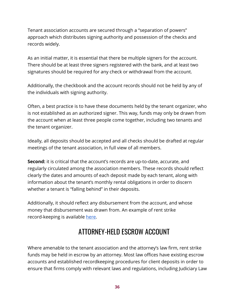Tenant association accounts are secured through a "separation of powers" approach which distributes signing authority and possession of the checks and records widely.

As an initial matter, it is essential that there be multiple signers for the account. There should be at least three signers registered with the bank, and at least two signatures should be required for any check or withdrawal from the account.

Additionally, the checkbook and the account records should not be held by any of the individuals with signing authority.

Often, a best practice is to have these documents held by the tenant organizer, who is not established as an authorized signer. This way, funds may only be drawn from the account when at least three people come together, including two tenants and the tenant organizer.

Ideally, all deposits should be accepted and all checks should be drafted at regular meetings of the tenant association, in full view of all members.

**Second:** it is critical that the account's records are up-to-date, accurate, and regularly circulated among the association members. These records should reflect clearly the dates and amounts of each deposit made by each tenant, along with information about the tenant's monthly rental obligations in order to discern whether a tenant is "falling behind" in their deposits.

Additionally, it should reflect any disbursement from the account, and whose money that disbursement was drawn from. An example of rent strike record-keeping is available [here.](https://docs.google.com/spreadsheets/d/1pCHX18Mp2QoavzqI_76bTdhnnGqMw8oT90a1YZnmnZI/edit?usp=sharing)

# ATTORNEY-HELD ESCROW ACCOUNT

Where amenable to the tenant association and the attorney's law firm, rent strike funds may be held in escrow by an attorney. Most law offices have existing escrow accounts and established recordkeeping procedures for client deposits in order to ensure that firms comply with relevant laws and regulations, including Judiciary Law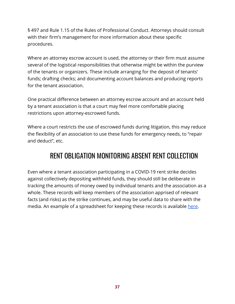§ 497 and Rule 1.15 of the Rules of Professional Conduct. Attorneys should consult with their firm's management for more information about these specific procedures.

Where an attorney escrow account is used, the attorney or their firm must assume several of the logistical responsibilities that otherwise might be within the purview of the tenants or organizers. These include arranging for the deposit of tenants' funds; drafting checks; and documenting account balances and producing reports for the tenant association.

One practical difference between an attorney escrow account and an account held by a tenant association is that a court may feel more comfortable placing restrictions upon attorney-escrowed funds.

Where a court restricts the use of escrowed funds during litigation, this may reduce the flexibility of an association to use these funds for emergency needs, to "repair and deduct", etc.

## RENT OBLIGATION MONITORING ABSENT RENT COLLECTION

Even where a tenant association participating in a COVID-19 rent strike decides against collectively depositing withheld funds, they should still be deliberate in tracking the amounts of money owed by individual tenants and the association as a whole. These records will keep members of the association apprised of relevant facts (and risks) as the strike continues, and may be useful data to share with the media. An example of a spreadsheet for keeping these records is available [here](https://docs.google.com/spreadsheets/d/1tfWBb-Okyxl9hLj0-uJYx4MT9Kv-h7qPYQljx89taxQ/edit?usp=sharing).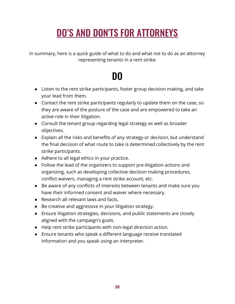# DO'S AND DON'TS FOR ATTORNEYS

In summary, here is a quick guide of what to do and what not to do as an attorney representing tenants in a rent strike:

# DO

- Listen to the rent strike participants, foster group decision making, and take your lead from them.
- Contact the rent strike participants regularly to update them on the case, so they are aware of the posture of the case and are empowered to take an active role in their litigation.
- Consult the tenant group regarding legal strategy as well as broader objectives.
- Explain all the risks and benefits of any strategy or decision, but understand the final decision of what route to take is determined collectively by the rent strike participants.
- Adhere to all legal ethics in your practice.
- Follow the lead of the organizers to support pre-litigation actions and organizing, such as developing collective decision making procedures, conflict waivers, managing a rent strike account, etc.
- Be aware of any conflicts of interests between tenants and make sure you have their informed consent and waiver where necessary.
- Research all relevant laws and facts.
- Be creative and aggressive in your litigation strategy.
- Ensure litigation strategies, decisions, and public statements are closely aligned with the campaign's goals.
- Help rent strike participants with non-legal direction action.
- Ensure tenants who speak a different language receive translated information and you speak using an interpreter.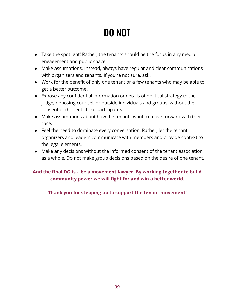# DO NOT

- Take the spotlight! Rather, the tenants should be the focus in any media engagement and public space.
- Make assumptions. Instead, always have regular and clear communications with organizers and tenants. If you're not sure, ask!
- Work for the benefit of only one tenant or a few tenants who may be able to get a better outcome.
- Expose any confidential information or details of political strategy to the judge, opposing counsel, or outside individuals and groups, without the consent of the rent strike participants.
- Make assumptions about how the tenants want to move forward with their case.
- Feel the need to dominate every conversation. Rather, let the tenant organizers and leaders communicate with members and provide context to the legal elements.
- Make any decisions without the informed consent of the tenant association as a whole. Do not make group decisions based on the desire of one tenant.

#### **And the final DO is - be a movement lawyer. By working together to build community power we will fight for and win a better world.**

#### **Thank you for stepping up to support the tenant movement!**